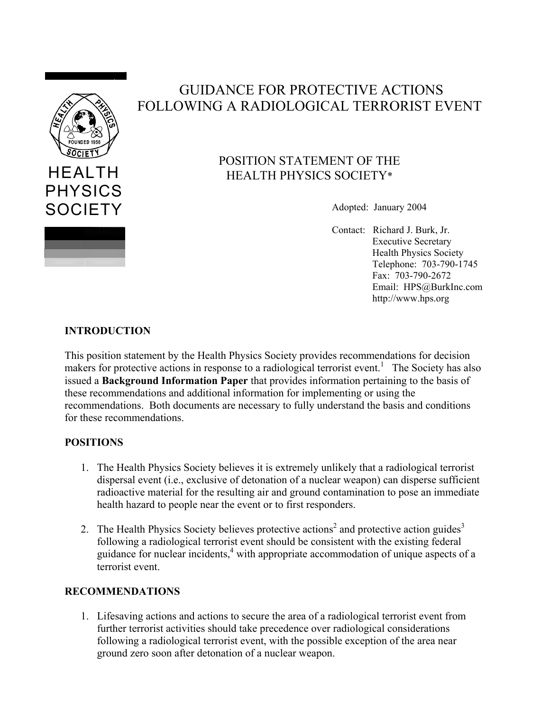

# GUIDANCE FOR PROTECTIVE ACTIONS FOLLOWING A RADIOLOGICAL TERRORIST EVENT

# POSITION STATEMENT OF THE HEALTH PHYSICS SOCIETY\*

Adopted: January 2004

Contact: Richard J. Burk, Jr. Executive Secretary Health Physics Society Telephone: 703-790-1745 Fax: 703-790-2672 Email: HPS@BurkInc.com http://www.hps.org

## **INTRODUCTION**

This position statement by the Health Physics Society provides recommendations for decision makers for protective actions in response to a radiological terrorist event.<sup>1</sup> The Society has also issued a **Background Information Paper** that provides information pertaining to the basis of these recommendations and additional information for implementing or using the recommendations. Both documents are necessary to fully understand the basis and conditions for these recommendations.

### **POSITIONS**

- 1. The Health Physics Society believes it is extremely unlikely that a radiological terrorist dispersal event (i.e., exclusive of detonation of a nuclear weapon) can disperse sufficient radioactive material for the resulting air and ground contamination to pose an immediate health hazard to people near the event or to first responders.
- 2. The Health Physics Society believes protective actions<sup>2</sup> and protective action guides<sup>3</sup> following a radiological terrorist event should be consistent with the existing federal guidance for nuclear incidents,<sup>4</sup> with appropriate accommodation of unique aspects of a terrorist event.

#### **RECOMMENDATIONS**

1. Lifesaving actions and actions to secure the area of a radiological terrorist event from further terrorist activities should take precedence over radiological considerations following a radiological terrorist event, with the possible exception of the area near ground zero soon after detonation of a nuclear weapon.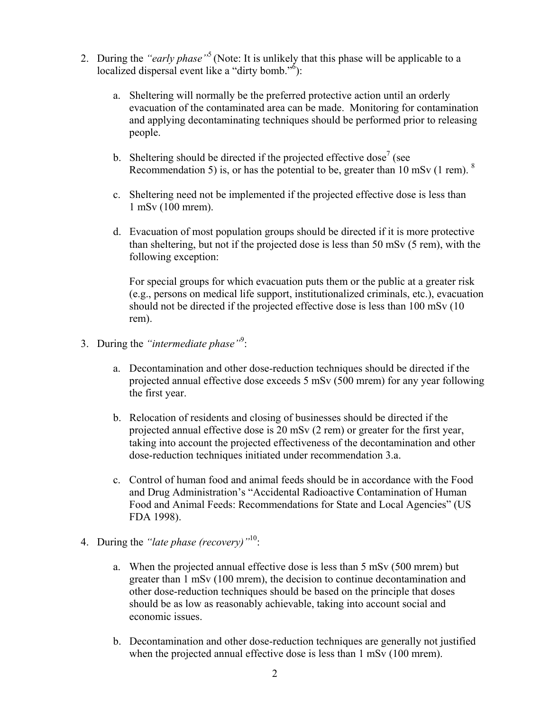- 2. During the *"early phase"*5 (Note: It is unlikely that this phase will be applicable to a localized dispersal event like a "dirty bomb." $\delta$ ):
	- a. Sheltering will normally be the preferred protective action until an orderly evacuation of the contaminated area can be made. Monitoring for contamination and applying decontaminating techniques should be performed prior to releasing people.
	- b. Sheltering should be directed if the projected effective dose<sup>7</sup> (see Recommendation 5) is, or has the potential to be, greater than 10 mSv (1 rem).  $8$
	- c. Sheltering need not be implemented if the projected effective dose is less than 1 mSv (100 mrem).
	- d. Evacuation of most population groups should be directed if it is more protective than sheltering, but not if the projected dose is less than 50 mSv (5 rem), with the following exception:

For special groups for which evacuation puts them or the public at a greater risk (e.g., persons on medical life support, institutionalized criminals, etc.), evacuation should not be directed if the projected effective dose is less than 100 mSv (10 rem).

- 3. During the *"intermediate phase"*<sup>9</sup> :
	- a. Decontamination and other dose-reduction techniques should be directed if the projected annual effective dose exceeds 5 mSv (500 mrem) for any year following the first year.
	- b. Relocation of residents and closing of businesses should be directed if the projected annual effective dose is 20 mSv (2 rem) or greater for the first year, taking into account the projected effectiveness of the decontamination and other dose-reduction techniques initiated under recommendation 3.a.
	- c. Control of human food and animal feeds should be in accordance with the Food and Drug Administration's "Accidental Radioactive Contamination of Human Food and Animal Feeds: Recommendations for State and Local Agencies" (US FDA 1998).
- 4. During the *"late phase (recovery)"*10:
	- a. When the projected annual effective dose is less than 5 mSv (500 mrem) but greater than 1 mSv (100 mrem), the decision to continue decontamination and other dose-reduction techniques should be based on the principle that doses should be as low as reasonably achievable, taking into account social and economic issues.
	- b. Decontamination and other dose-reduction techniques are generally not justified when the projected annual effective dose is less than 1 mSv (100 mrem).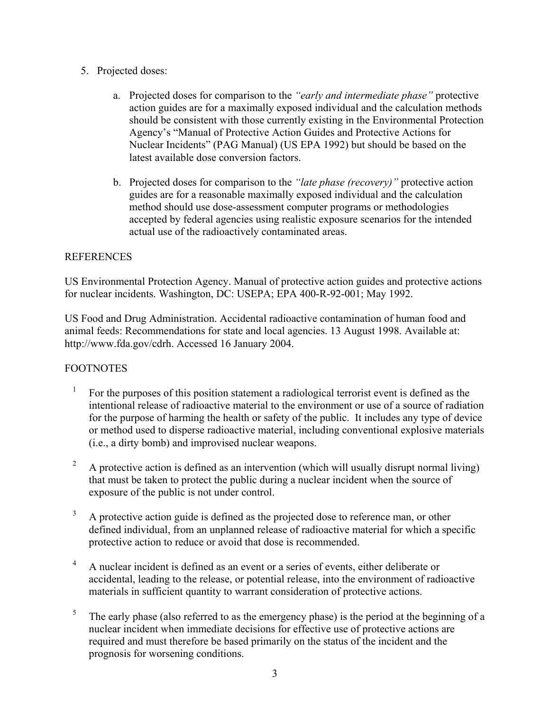- 5. Projected doses:
	- a. Projected doses for comparison to the *"early and intermediate phase"* protective action guides are for a maximally exposed individual and the calculation methods should be consistent with those currently existing in the Environmental Protection Agency's "Manual of Protective Action Guides and Protective Actions for Nuclear Incidents" (PAG Manual) (US EPA 1992) but should be based on the latest available dose conversion factors.
	- b. Projected doses for comparison to the *"late phase (recovery)"* protective action guides are for a reasonable maximally exposed individual and the calculation method should use dose-assessment computer programs or methodologies accepted by federal agencies using realistic exposure scenarios for the intended actual use of the radioactively contaminated areas.

#### REFERENCES

US Environmental Protection Agency. Manual of protective action guides and protective actions for nuclear incidents. Washington, DC: USEPA; EPA 400-R-92-001; May 1992.

US Food and Drug Administration. Accidental radioactive contamination of human food and animal feeds: Recommendations for state and local agencies. 13 August 1998. Available at: [http://www.fda.gov/cdrh.](http://www.fda.gov/cdrh. Accessed 16 January 2004) Accessed 16 January 2004.

### FOOTNOTES

- <sup>1</sup> For the purposes of this position statement a radiological terrorist event is defined as the intentional release of radioactive material to the environment or use of a source of radiation for the purpose of harming the health or safety of the public. It includes any type of device or method used to disperse radioactive material, including conventional explosive materials (i.e., a dirty bomb) and improvised nuclear weapons.
- <sup>2</sup> A protective action is defined as an intervention (which will usually disrupt normal living) that must be taken to protect the public during a nuclear incident when the source of exposure of the public is not under control.
- $3$  A protective action guide is defined as the projected dose to reference man, or other defined individual, from an unplanned release of radioactive material for which a specific protective action to reduce or avoid that dose is recommended.
- <sup>4</sup> A nuclear incident is defined as an event or a series of events, either deliberate or accidental, leading to the release, or potential release, into the environment of radioactive materials in sufficient quantity to warrant consideration of protective actions.
- $5$  The early phase (also referred to as the emergency phase) is the period at the beginning of a nuclear incident when immediate decisions for effective use of protective actions are required and must therefore be based primarily on the status of the incident and the prognosis for worsening conditions.